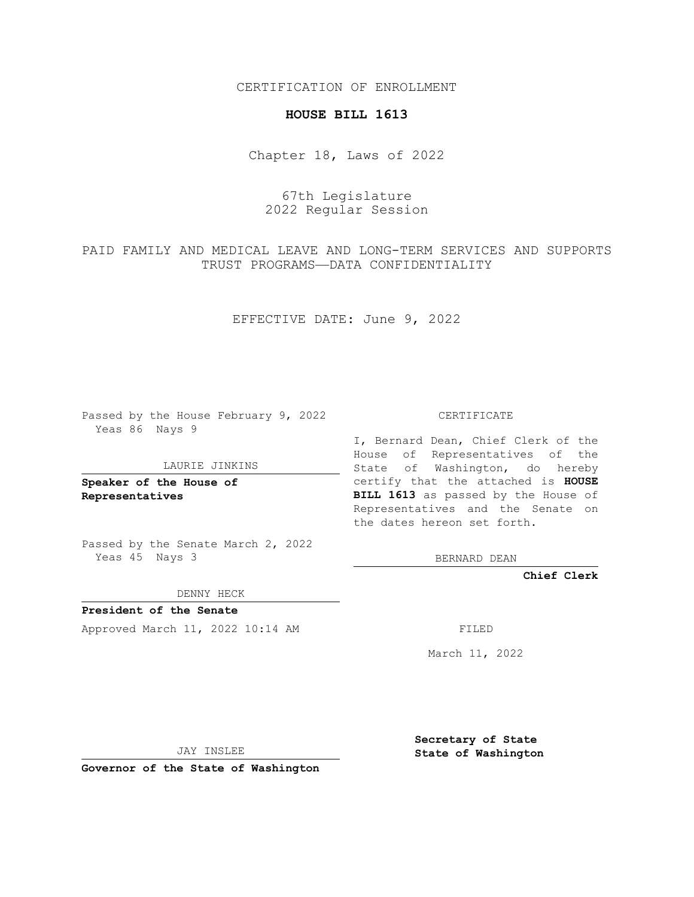CERTIFICATION OF ENROLLMENT

## **HOUSE BILL 1613**

Chapter 18, Laws of 2022

67th Legislature 2022 Regular Session

PAID FAMILY AND MEDICAL LEAVE AND LONG-TERM SERVICES AND SUPPORTS TRUST PROGRAMS—DATA CONFIDENTIALITY

EFFECTIVE DATE: June 9, 2022

Passed by the House February 9, 2022 Yeas 86 Nays 9

LAURIE JINKINS

**Speaker of the House of Representatives**

Passed by the Senate March 2, 2022 Yeas 45 Nays 3

DENNY HECK

**President of the Senate** Approved March 11, 2022 10:14 AM FILED

CERTIFICATE

I, Bernard Dean, Chief Clerk of the House of Representatives of the State of Washington, do hereby certify that the attached is **HOUSE BILL 1613** as passed by the House of Representatives and the Senate on the dates hereon set forth.

BERNARD DEAN

**Chief Clerk**

March 11, 2022

JAY INSLEE

**Governor of the State of Washington**

**Secretary of State State of Washington**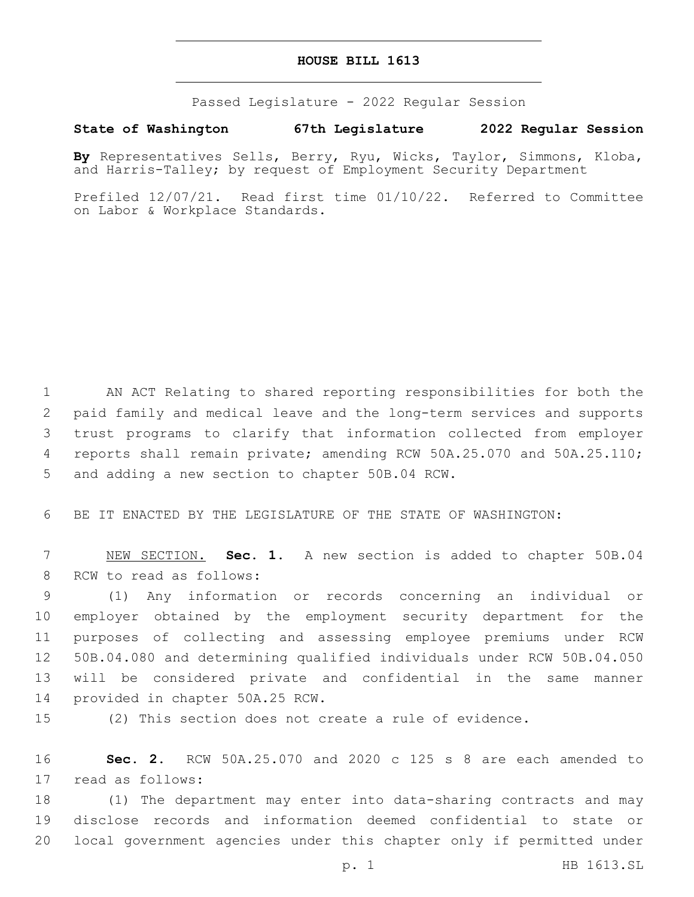## **HOUSE BILL 1613**

Passed Legislature - 2022 Regular Session

## **State of Washington 67th Legislature 2022 Regular Session**

**By** Representatives Sells, Berry, Ryu, Wicks, Taylor, Simmons, Kloba, and Harris-Talley; by request of Employment Security Department

Prefiled 12/07/21. Read first time 01/10/22. Referred to Committee on Labor & Workplace Standards.

 AN ACT Relating to shared reporting responsibilities for both the paid family and medical leave and the long-term services and supports trust programs to clarify that information collected from employer reports shall remain private; amending RCW 50A.25.070 and 50A.25.110; 5 and adding a new section to chapter 50B.04 RCW.

6 BE IT ENACTED BY THE LEGISLATURE OF THE STATE OF WASHINGTON:

7 NEW SECTION. **Sec. 1.** A new section is added to chapter 50B.04 8 RCW to read as follows:

 (1) Any information or records concerning an individual or employer obtained by the employment security department for the purposes of collecting and assessing employee premiums under RCW 50B.04.080 and determining qualified individuals under RCW 50B.04.050 will be considered private and confidential in the same manner 14 provided in chapter 50A.25 RCW.

15 (2) This section does not create a rule of evidence.

16 **Sec. 2.** RCW 50A.25.070 and 2020 c 125 s 8 are each amended to 17 read as follows:

18 (1) The department may enter into data-sharing contracts and may 19 disclose records and information deemed confidential to state or 20 local government agencies under this chapter only if permitted under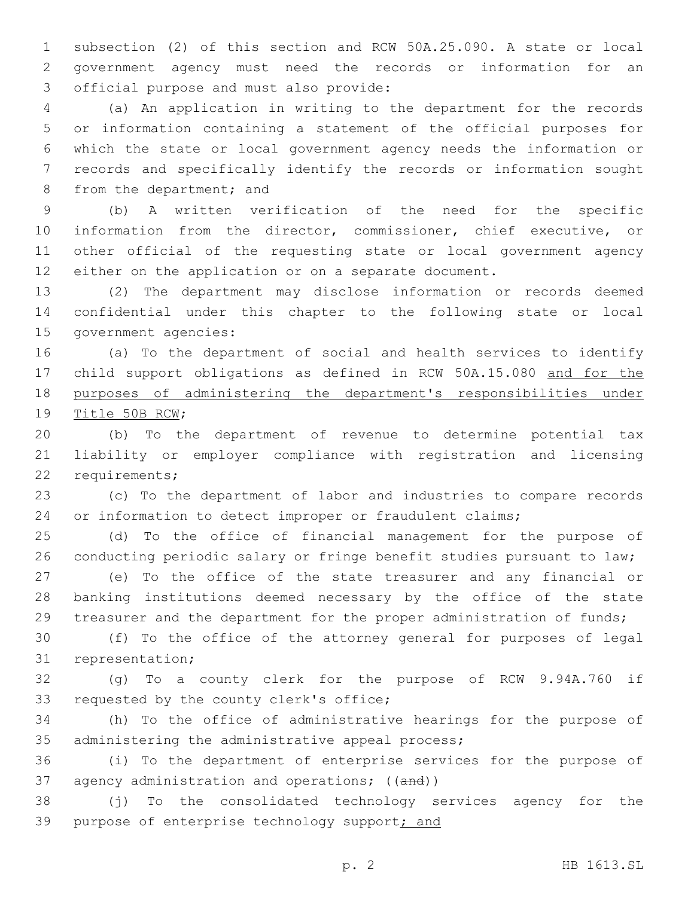subsection (2) of this section and RCW 50A.25.090. A state or local government agency must need the records or information for an 3 official purpose and must also provide:

 (a) An application in writing to the department for the records or information containing a statement of the official purposes for which the state or local government agency needs the information or records and specifically identify the records or information sought 8 from the department; and

 (b) A written verification of the need for the specific information from the director, commissioner, chief executive, or other official of the requesting state or local government agency either on the application or on a separate document.

 (2) The department may disclose information or records deemed confidential under this chapter to the following state or local 15 government agencies:

 (a) To the department of social and health services to identify child support obligations as defined in RCW 50A.15.080 and for the purposes of administering the department's responsibilities under 19 Title 50B RCW;

 (b) To the department of revenue to determine potential tax liability or employer compliance with registration and licensing 22 requirements;

 (c) To the department of labor and industries to compare records or information to detect improper or fraudulent claims;

 (d) To the office of financial management for the purpose of 26 conducting periodic salary or fringe benefit studies pursuant to law;

 (e) To the office of the state treasurer and any financial or banking institutions deemed necessary by the office of the state treasurer and the department for the proper administration of funds;

 (f) To the office of the attorney general for purposes of legal 31 representation;

 (g) To a county clerk for the purpose of RCW 9.94A.760 if 33 requested by the county clerk's office;

 (h) To the office of administrative hearings for the purpose of 35 administering the administrative appeal process;

 (i) To the department of enterprise services for the purpose of 37 agency administration and operations; ((and))

 (j) To the consolidated technology services agency for the 39 purpose of enterprise technology support; and